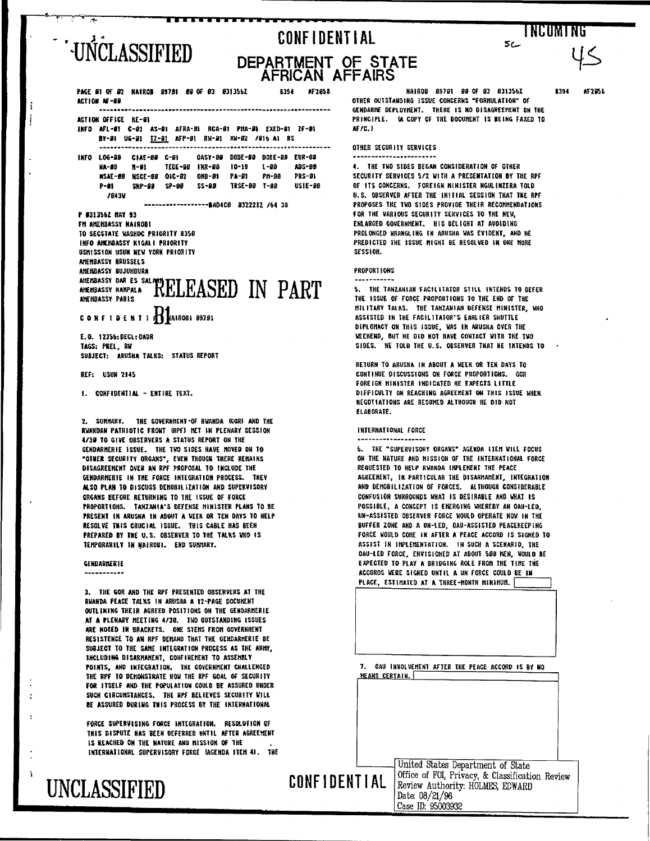# UNCLASSIFIED

### **CONFIDENTIAL** DEPARTMENT OF STATE<br>AFRICAN AFFAIRS

PAGE #1 OF #2 NAIROB #9781 ## OF #3 #31356Z 8394 AF7658 ACTION AF-89 ACTION OFFICE KE-01 INFO AFL-#1 C-81 AS-81 AFRA-BI RCA-81 PHA-91 EXED-91 ZF-91 BY-91 UG-91 12-91 AFP-91 RW-91 XW-92 /916 A1 RS 18FO 1.06-88 C1AF-88 C-81 0ASY-88 DODE-98 DOEE-88 EUR-89 TEDE-88 INR-88 10-19 1-89 ADS-98 **NA-89 N-81** NSAE-BB NSCE-88 OIC-82 ONB-81 PA-81 PK-98 PPS-01  $P - 81$ SNP-99 SP-98  $SS-BB$ TRSE-00 7-80 USIE-88 7843V P #31356Z MAY 93 FM AMEMBASSY NAIROBI TO SECSTATE WASHDC PRIORITY 8356 INFO AMENGASSY KIGALI PRIORITY USHISSION USUN NEW YORK PRIORITY AMEMBASSY BRUSSELS ANENBASSY BUJUHRURA AMERIBASSY DAR ES SALATRELEASED IN PART CONFIDENTI RAIROBI 89781 E.O. 12356: DECL: OADR TAGS: PREL. RW SUBJECT: ARUSHA TALKS: STATUS REPORT

#### **REF: USUN 2145**

1. CONFIDENTIAL - ENTIRE TEXT.

2. SUMMARY. THE GOVERNMENT-OF RUANDA (GOR) AND THE RVANDAN PATRIOTIC FRONT (RPF) MET IN PLENARY SESSION 4/30 TO GIVE OBSERVERS A STATUS REPORT ON THE GENDARMERIE ISSUE. THE TWO SIDES HAVE MOVED ON TO "OTHER SECURITY ORGANS", EVEN THOUGH THERE REMAINS DISAGREEMENT OVER AN RPF PROPOSAL TO INCLUDE THE GENDARMERIE IN THE FORCE INTEGRATION PROCESS. THEY ALSO PLAN TO DISCUSS DENOBILIZATION AND SUPERVISORY ORGANS BEFORE RETURNING TO THE ISSUE OF FORCE PROPORTIONS. TANZANIA'S DEFENSE MINISTER PLANS TO BE PRESENT IN ARUSHA IN ABOUT A WEEK OR TEN DAYS TO HELP RESOLVE THIS CRUCIAL ISSUE. THIS CABLE HAS BEEN PREPARED BY THE U.S. OBSERVER TO THE TALKS VHO IS TEMPORARILY IN MAIROBI. END SUNHARY.

#### GENDARMERIE

UNCLASSIFIED

 $\ddot{\cdot}$ 

3. THE GOR AND THE RPF PRESENTED OBSERVERS AT THE RUANDA PEACE TALNS IN ARIISHA A 12-PAGE DOCUMENT OUTEINING THEIR AGREED POSITIONS ON THE GENDARMERIE AT A PLENARY MEETING 4/30. THO OUTSTANDING ISSUES ARE NOTED IN BRACKETS. ONE STENS FROM GOVERNMENT RESISTENCE TO AN RPF DEMAND THAT THE GENDARMERIE BE SUBJECT TO THE SAME INTEGRATION PROCESS AS THE ARMY, INCLUDING DISARHANENT, CONFINEMENT TO ASSENTLY POINTS, AND INTEGRATION. THE GOVERNMENT CHALLENGED THE RPF TO DEMONSTRATE HOW THE RPF GOAL OF SECURITY FOR ITSELF AND THE POPULATION COULD BE ASSURED UNDER SUCH CIRCUMSTANCES. THE RPF BELIEVES SECURITY MILL BE ASSURED DURING THIS PROCESS BY THE INTERNATIONAL

FORCE SUPERVISING FORCE INTEGRATION. RESOLUTION OF THIS DISPUTE HAS BEEN DEFERRED WATIL AFTER AGREEMENT IS REACHED ON THE NATURE AND MISSION OF THE INTERNATIONAL SUPERVISORY FORCE (AGENDA ITEM 4). THE

NAIROB 89761 88 OF 63 8313567 OTHER OUTSTANDING ISSUE CONCERNS "FORMULATION" OF GENDARNE DEPLOYMENT. THERE IS NO DISAGREEMENT ON THE PRINCIPLE. (A COPY OF THE DOCUMENT IS BEING FAXED TO AF /C. 3

AF 2 DS 2

I NGUMI NG

1395

 $5c$ 

#### OTHER SECURITY SERVICES

4. THE TWO SIDES BEGAN CONSIDERATION OF OTHER SECURITY SERVICES 5/2 WITH A PRESENTATION BY THE RPF OF ITS CONCERNS. FOREIGN MINISTER NGULINZERA TOLD U.S. OBSERVER AFTER THE INITIAL SESSION THAT THE RPF PROPOSES THE TWO SIDES PROVIDE THEIR RECOMMENDATIONS FOR THE VARIOUS SEGURITY SERVICES TO THE NEW. ENLARGED GOVERNMENT. HIS DELIGHT AT AVOIDING PROLONGED WRANGEING IN ARUSHA WAS EVIDENT, AND HE PREDICTED THE ISSUE MIGHT BE RESOLVED IN ONE MORE SESSION.

#### **PROPORT LONS**

S. THE TANZANIAN FACILITATOR STILL INTENDS TO DEFER THE ISSUE OF FORCE PROPORTIONS TO THE END OF THE MILITARY TALKS. THE TANZAWIAN DEFENSE MINISTER, WHO ASSISTED IN THE FACILITATOR'S EARLIER SHUTTLE DIPLOMACY ON THIS ISSUE, WAS IN ARUSHA OVER THE WEEKEND, BUT HE BID NOT HAVE CONTACT WITH THE TWO SIDES. HE TOLD THE U.S. OBSERVER THAT HE INTENDS TO

RETURN TO ARUSHA IN ABOUT A WEEK OR TEN DAYS TO CONTINUE DISCUSSIONS ON FORCE PROPORTIONS. GOR FOREIGN MINISTER INDICATED HE EXPECTS LITTLE DIFFICULTY ON REACHING AGREEMENT ON THIS ISSUE WHEN REGOTIATIONS ARE RESUMED ALTHOUGH HE DID NOT FLARORATE.

INTERNATIONAL FORCE

6. THE "SUPERVISORY ORGANS" AGENDA ITEM WILL FOCUS ON THE NATURE AND MISSION OF THE INTERNATIONAL FORCE REQUESTED TO HELP RWANDA INPLENENT THE PEACE AGREENENT, IN PARTICULAR THE DISARMAMENT, INTEGRATION AND DEMOBILIZATION OF FORCES. ALTHOUGH CONSIDERABLE CONFUSION SURROUNDS WHAT IS DESIRABLE AND WHAT IS POSSIBLE, A CONCEPT IS ENERGING WHEREBY AN OAU-LED, UN-ASSISTED OBSERVER FORCE WOULD OPERATE NOW IN THE BUFFER ZONE AND A UN-LED, DAU-ASSISTED PEACEKEEPING FORCE WOULD COME IN AFTER A PEACE ACCORD IS SIGNED TO ASSIST IN INPLEMENTATION. IN SUCH A SCENARIO, THE OAU-LED FORCE. ENVISIONED AT ABOUT 580 NEN. WOULD BE EXPECTED TO PLAY A BRIDGING ROLE FROM THE TIME THE ACCORDS WERE SIGNED UNTIL A UN FORCE COULD BE IN PLACE, ESTIMATED AT A THREE-HONTH MINIMUM.

7. OAU INVOLVEMENT AFTER THE PEACE ACCORD IS BY NO HEANS CERTAIN.

**CONFIDENTIAL** 

United States Department of State Office of FOI, Privacy, & Classification Review Review Authority: HOLMES, EDWARD Date: 08/21/96 Case ID: 95003932